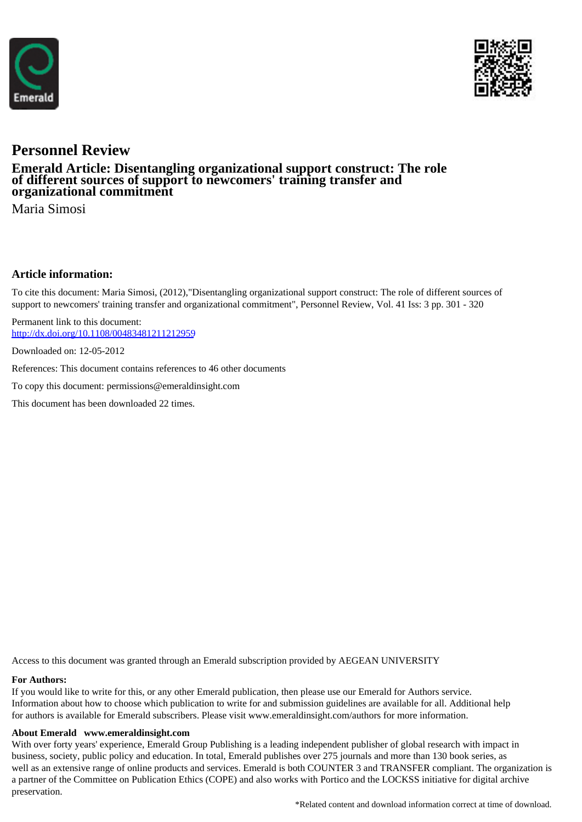



# **Personnel Review**

## **Emerald Article: Disentangling organizational support construct: The role of different sources of support to newcomers' training transfer and organizational commitment**

Maria Simosi

## **Article information:**

To cite this document: Maria Simosi, (2012),"Disentangling organizational support construct: The role of different sources of support to newcomers' training transfer and organizational commitment", Personnel Review, Vol. 41 Iss: 3 pp. 301 - 320

Permanent link to this document: http://dx.doi.org/10.1108/00483481211212959

Downloaded on: 12-05-2012

References: This document contains references to 46 other documents

To copy this document: permissions@emeraldinsight.com

This document has been downloaded 22 times.

Access to this document was granted through an Emerald subscription provided by AEGEAN UNIVERSITY

### **For Authors:**

If you would like to write for this, or any other Emerald publication, then please use our Emerald for Authors service. Information about how to choose which publication to write for and submission guidelines are available for all. Additional help for authors is available for Emerald subscribers. Please visit www.emeraldinsight.com/authors for more information.

#### **About Emerald www.emeraldinsight.com**

With over forty years' experience, Emerald Group Publishing is a leading independent publisher of global research with impact in business, society, public policy and education. In total, Emerald publishes over 275 journals and more than 130 book series, as well as an extensive range of online products and services. Emerald is both COUNTER 3 and TRANSFER compliant. The organization is a partner of the Committee on Publication Ethics (COPE) and also works with Portico and the LOCKSS initiative for digital archive preservation.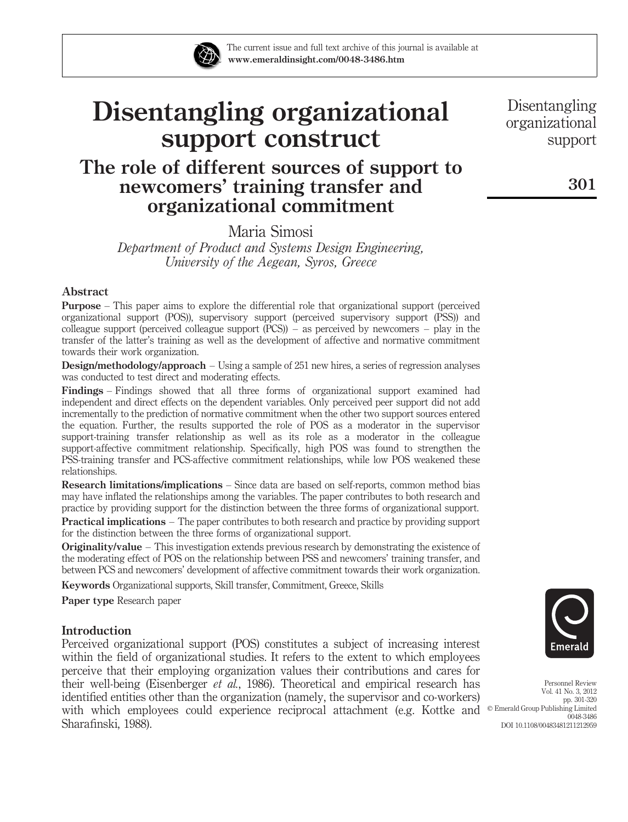The current issue and full text archive of this journal is available at www.emeraldinsight.com/0048-3486.htm

# Disentangling organizational support construct

# The role of different sources of support to newcomers' training transfer and organizational commitment

Maria Simosi

Department of Product and Systems Design Engineering, University of the Aegean, Syros, Greece

#### Abstract

Purpose – This paper aims to explore the differential role that organizational support (perceived organizational support (POS)), supervisory support (perceived supervisory support (PSS)) and colleague support (perceived colleague support  $(PCS)$ ) – as perceived by newcomers – play in the transfer of the latter's training as well as the development of affective and normative commitment towards their work organization.

Design/methodology/approach – Using a sample of 251 new hires, a series of regression analyses was conducted to test direct and moderating effects.

Findings – Findings showed that all three forms of organizational support examined had independent and direct effects on the dependent variables. Only perceived peer support did not add incrementally to the prediction of normative commitment when the other two support sources entered the equation. Further, the results supported the role of POS as a moderator in the supervisor support-training transfer relationship as well as its role as a moderator in the colleague support-affective commitment relationship. Specifically, high POS was found to strengthen the PSS-training transfer and PCS-affective commitment relationships, while low POS weakened these relationships.

Research limitations/implications – Since data are based on self-reports, common method bias may have inflated the relationships among the variables. The paper contributes to both research and practice by providing support for the distinction between the three forms of organizational support.

Practical implications – The paper contributes to both research and practice by providing support for the distinction between the three forms of organizational support.

**Originality/value** – This investigation extends previous research by demonstrating the existence of the moderating effect of POS on the relationship between PSS and newcomers' training transfer, and between PCS and newcomers' development of affective commitment towards their work organization.

Keywords Organizational supports, Skill transfer, Commitment, Greece, Skills

Paper type Research paper

#### **Introduction**

Perceived organizational support (POS) constitutes a subject of increasing interest within the field of organizational studies. It refers to the extent to which employees perceive that their employing organization values their contributions and cares for their well-being (Eisenberger et al., 1986). Theoretical and empirical research has identified entities other than the organization (namely, the supervisor and co-workers) with which employees could experience reciprocal attachment (e.g. Kottke and © Emerald Group Publishing Limited Sharafinski, 1988).

Personnel Review Vol. 41 No. 3, 2012 pp. 301-320 DOI 10.1108/00483481211212959



Disentangling organizational support

301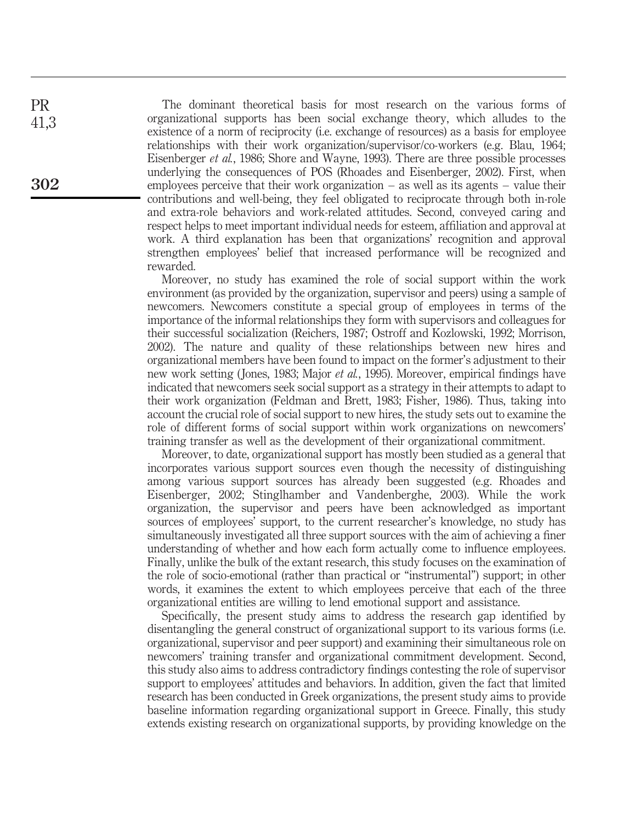The dominant theoretical basis for most research on the various forms of organizational supports has been social exchange theory, which alludes to the existence of a norm of reciprocity (i.e. exchange of resources) as a basis for employee relationships with their work organization/supervisor/co-workers (e.g. Blau, 1964; Eisenberger et al., 1986; Shore and Wayne, 1993). There are three possible processes underlying the consequences of POS (Rhoades and Eisenberger, 2002). First, when employees perceive that their work organization  $-$  as well as its agents  $-$  value their contributions and well-being, they feel obligated to reciprocate through both in-role and extra-role behaviors and work-related attitudes. Second, conveyed caring and respect helps to meet important individual needs for esteem, affiliation and approval at work. A third explanation has been that organizations' recognition and approval strengthen employees' belief that increased performance will be recognized and rewarded.

Moreover, no study has examined the role of social support within the work environment (as provided by the organization, supervisor and peers) using a sample of newcomers. Newcomers constitute a special group of employees in terms of the importance of the informal relationships they form with supervisors and colleagues for their successful socialization (Reichers, 1987; Ostroff and Kozlowski, 1992; Morrison, 2002). The nature and quality of these relationships between new hires and organizational members have been found to impact on the former's adjustment to their new work setting (Jones, 1983; Major et al., 1995). Moreover, empirical findings have indicated that newcomers seek social support as a strategy in their attempts to adapt to their work organization (Feldman and Brett, 1983; Fisher, 1986). Thus, taking into account the crucial role of social support to new hires, the study sets out to examine the role of different forms of social support within work organizations on newcomers' training transfer as well as the development of their organizational commitment.

Moreover, to date, organizational support has mostly been studied as a general that incorporates various support sources even though the necessity of distinguishing among various support sources has already been suggested (e.g. Rhoades and Eisenberger, 2002; Stinglhamber and Vandenberghe, 2003). While the work organization, the supervisor and peers have been acknowledged as important sources of employees' support, to the current researcher's knowledge, no study has simultaneously investigated all three support sources with the aim of achieving a finer understanding of whether and how each form actually come to influence employees. Finally, unlike the bulk of the extant research, this study focuses on the examination of the role of socio-emotional (rather than practical or "instrumental") support; in other words, it examines the extent to which employees perceive that each of the three organizational entities are willing to lend emotional support and assistance.

Specifically, the present study aims to address the research gap identified by disentangling the general construct of organizational support to its various forms (i.e. organizational, supervisor and peer support) and examining their simultaneous role on newcomers' training transfer and organizational commitment development. Second, this study also aims to address contradictory findings contesting the role of supervisor support to employees' attitudes and behaviors. In addition, given the fact that limited research has been conducted in Greek organizations, the present study aims to provide baseline information regarding organizational support in Greece. Finally, this study extends existing research on organizational supports, by providing knowledge on the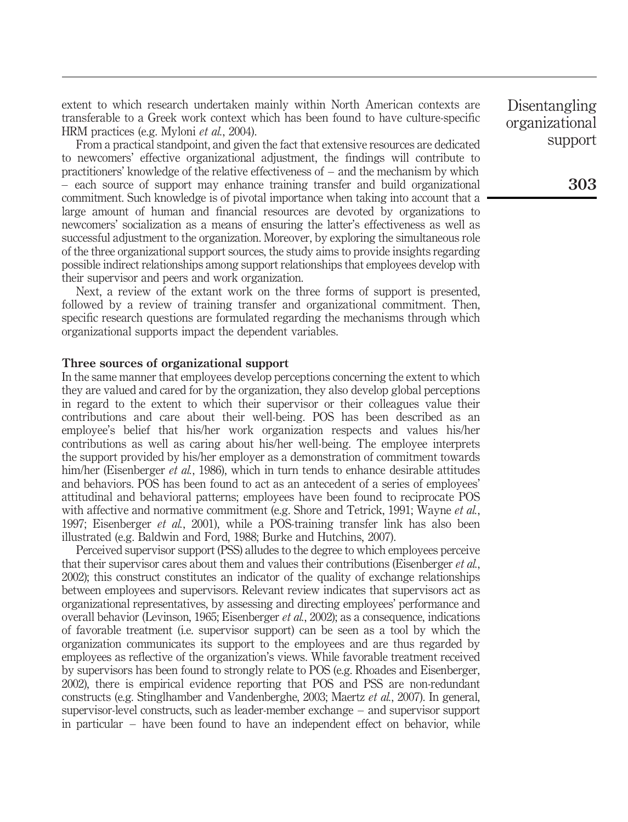extent to which research undertaken mainly within North American contexts are transferable to a Greek work context which has been found to have culture-specific HRM practices (e.g. Myloni et al., 2004).

From a practical standpoint, and given the fact that extensive resources are dedicated to newcomers' effective organizational adjustment, the findings will contribute to practitioners' knowledge of the relative effectiveness of – and the mechanism by which – each source of support may enhance training transfer and build organizational commitment. Such knowledge is of pivotal importance when taking into account that a large amount of human and financial resources are devoted by organizations to newcomers' socialization as a means of ensuring the latter's effectiveness as well as successful adjustment to the organization. Moreover, by exploring the simultaneous role of the three organizational support sources, the study aims to provide insights regarding possible indirect relationships among support relationships that employees develop with their supervisor and peers and work organization.

Next, a review of the extant work on the three forms of support is presented, followed by a review of training transfer and organizational commitment. Then, specific research questions are formulated regarding the mechanisms through which organizational supports impact the dependent variables.

#### Three sources of organizational support

In the same manner that employees develop perceptions concerning the extent to which they are valued and cared for by the organization, they also develop global perceptions in regard to the extent to which their supervisor or their colleagues value their contributions and care about their well-being. POS has been described as an employee's belief that his/her work organization respects and values his/her contributions as well as caring about his/her well-being. The employee interprets the support provided by his/her employer as a demonstration of commitment towards him/her (Eisenberger *et al.*, 1986), which in turn tends to enhance desirable attitudes and behaviors. POS has been found to act as an antecedent of a series of employees' attitudinal and behavioral patterns; employees have been found to reciprocate POS with affective and normative commitment (e.g. Shore and Tetrick, 1991; Wayne et al., 1997; Eisenberger et al., 2001), while a POS-training transfer link has also been illustrated (e.g. Baldwin and Ford, 1988; Burke and Hutchins, 2007).

Perceived supervisor support (PSS) alludes to the degree to which employees perceive that their supervisor cares about them and values their contributions (Eisenberger et al., 2002); this construct constitutes an indicator of the quality of exchange relationships between employees and supervisors. Relevant review indicates that supervisors act as organizational representatives, by assessing and directing employees' performance and overall behavior (Levinson, 1965; Eisenberger et al., 2002); as a consequence, indications of favorable treatment (i.e. supervisor support) can be seen as a tool by which the organization communicates its support to the employees and are thus regarded by employees as reflective of the organization's views. While favorable treatment received by supervisors has been found to strongly relate to POS (e.g. Rhoades and Eisenberger, 2002), there is empirical evidence reporting that POS and PSS are non-redundant constructs (e.g. Stinglhamber and Vandenberghe, 2003; Maertz et al., 2007). In general, supervisor-level constructs, such as leader-member exchange – and supervisor support in particular – have been found to have an independent effect on behavior, while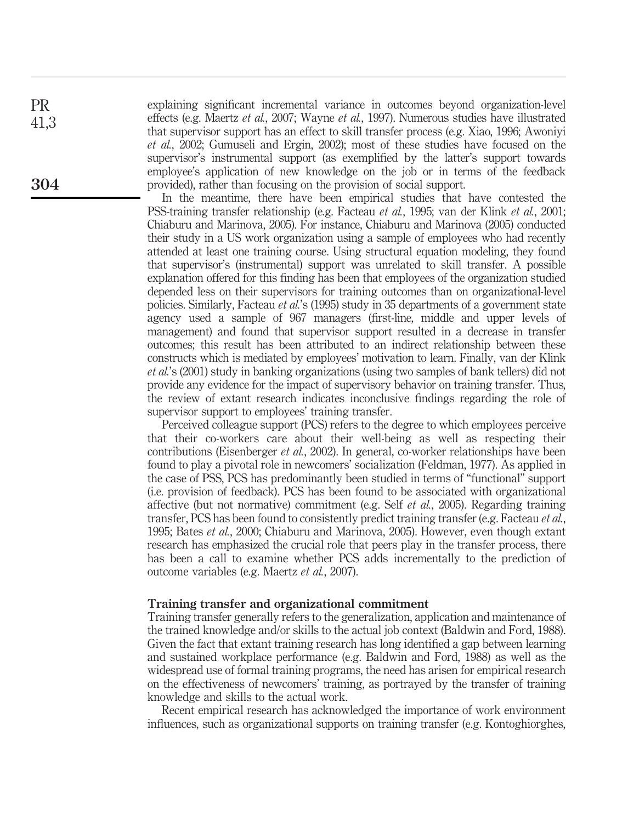explaining significant incremental variance in outcomes beyond organization-level effects (e.g. Maertz et al., 2007; Wayne et al., 1997). Numerous studies have illustrated that supervisor support has an effect to skill transfer process (e.g. Xiao, 1996; Awoniyi et al., 2002; Gumuseli and Ergin, 2002); most of these studies have focused on the supervisor's instrumental support (as exemplified by the latter's support towards employee's application of new knowledge on the job or in terms of the feedback provided), rather than focusing on the provision of social support.

In the meantime, there have been empirical studies that have contested the PSS-training transfer relationship (e.g. Facteau et al., 1995; van der Klink et al., 2001; Chiaburu and Marinova, 2005). For instance, Chiaburu and Marinova (2005) conducted their study in a US work organization using a sample of employees who had recently attended at least one training course. Using structural equation modeling, they found that supervisor's (instrumental) support was unrelated to skill transfer. A possible explanation offered for this finding has been that employees of the organization studied depended less on their supervisors for training outcomes than on organizational-level policies. Similarly, Facteau et al.'s (1995) study in 35 departments of a government state agency used a sample of 967 managers (first-line, middle and upper levels of management) and found that supervisor support resulted in a decrease in transfer outcomes; this result has been attributed to an indirect relationship between these constructs which is mediated by employees' motivation to learn. Finally, van der Klink et al.'s (2001) study in banking organizations (using two samples of bank tellers) did not provide any evidence for the impact of supervisory behavior on training transfer. Thus, the review of extant research indicates inconclusive findings regarding the role of supervisor support to employees' training transfer.

Perceived colleague support (PCS) refers to the degree to which employees perceive that their co-workers care about their well-being as well as respecting their contributions (Eisenberger et al., 2002). In general, co-worker relationships have been found to play a pivotal role in newcomers' socialization (Feldman, 1977). As applied in the case of PSS, PCS has predominantly been studied in terms of "functional" support (i.e. provision of feedback). PCS has been found to be associated with organizational affective (but not normative) commitment (e.g. Self *et al.*, 2005). Regarding training transfer, PCS has been found to consistently predict training transfer (e.g. Facteau *et al.*, 1995; Bates et al., 2000; Chiaburu and Marinova, 2005). However, even though extant research has emphasized the crucial role that peers play in the transfer process, there has been a call to examine whether PCS adds incrementally to the prediction of outcome variables (e.g. Maertz et al., 2007).

#### Training transfer and organizational commitment

Training transfer generally refers to the generalization, application and maintenance of the trained knowledge and/or skills to the actual job context (Baldwin and Ford, 1988). Given the fact that extant training research has long identified a gap between learning and sustained workplace performance (e.g. Baldwin and Ford, 1988) as well as the widespread use of formal training programs, the need has arisen for empirical research on the effectiveness of newcomers' training, as portrayed by the transfer of training knowledge and skills to the actual work.

Recent empirical research has acknowledged the importance of work environment influences, such as organizational supports on training transfer (e.g. Kontoghiorghes,

304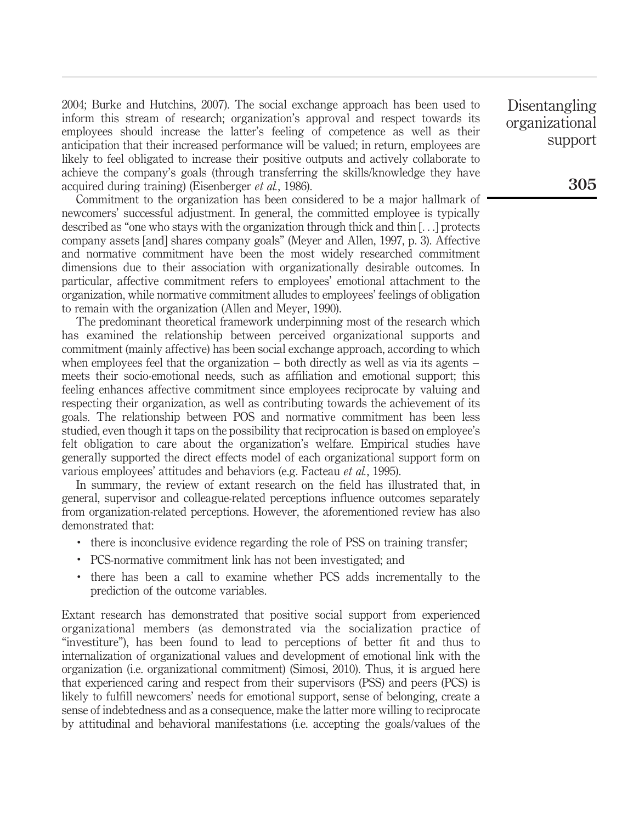2004; Burke and Hutchins, 2007). The social exchange approach has been used to inform this stream of research; organization's approval and respect towards its employees should increase the latter's feeling of competence as well as their anticipation that their increased performance will be valued; in return, employees are likely to feel obligated to increase their positive outputs and actively collaborate to achieve the company's goals (through transferring the skills/knowledge they have acquired during training) (Eisenberger et al., 1986).

Commitment to the organization has been considered to be a major hallmark of newcomers' successful adjustment. In general, the committed employee is typically described as "one who stays with the organization through thick and thin [...] protects company assets [and] shares company goals" (Meyer and Allen, 1997, p. 3). Affective and normative commitment have been the most widely researched commitment dimensions due to their association with organizationally desirable outcomes. In particular, affective commitment refers to employees' emotional attachment to the organization, while normative commitment alludes to employees' feelings of obligation to remain with the organization (Allen and Meyer, 1990).

The predominant theoretical framework underpinning most of the research which has examined the relationship between perceived organizational supports and commitment (mainly affective) has been social exchange approach, according to which when employees feel that the organization  $-$  both directly as well as via its agents  $$ meets their socio-emotional needs, such as affiliation and emotional support; this feeling enhances affective commitment since employees reciprocate by valuing and respecting their organization, as well as contributing towards the achievement of its goals. The relationship between POS and normative commitment has been less studied, even though it taps on the possibility that reciprocation is based on employee's felt obligation to care about the organization's welfare. Empirical studies have generally supported the direct effects model of each organizational support form on various employees' attitudes and behaviors (e.g. Facteau et al., 1995).

In summary, the review of extant research on the field has illustrated that, in general, supervisor and colleague-related perceptions influence outcomes separately from organization-related perceptions. However, the aforementioned review has also demonstrated that:

- . there is inconclusive evidence regarding the role of PSS on training transfer;
- . PCS-normative commitment link has not been investigated; and
- . there has been a call to examine whether PCS adds incrementally to the prediction of the outcome variables.

Extant research has demonstrated that positive social support from experienced organizational members (as demonstrated via the socialization practice of "investiture"), has been found to lead to perceptions of better fit and thus to internalization of organizational values and development of emotional link with the organization (i.e. organizational commitment) (Simosi, 2010). Thus, it is argued here that experienced caring and respect from their supervisors (PSS) and peers (PCS) is likely to fulfill newcomers' needs for emotional support, sense of belonging, create a sense of indebtedness and as a consequence, make the latter more willing to reciprocate by attitudinal and behavioral manifestations (i.e. accepting the goals/values of the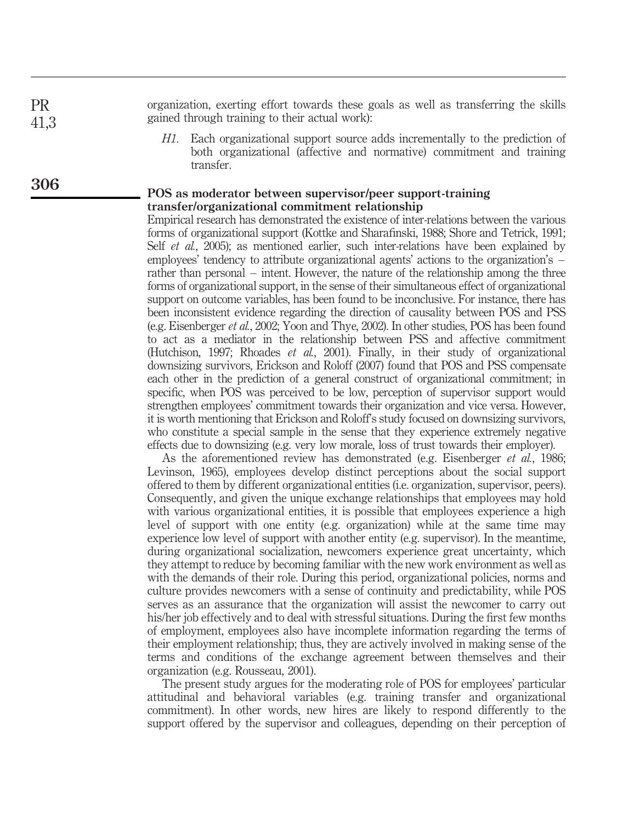organization, exerting effort towards these goals as well as transferring the skills gained through training to their actual work):

> H1. Each organizational support source adds incrementally to the prediction of both organizational (affective and normative) commitment and training transfer.

#### POS as moderator between supervisor/peer support-training transfer/organizational commitment relationship

Empirical research has demonstrated the existence of inter-relations between the various forms of organizational support (Kottke and Sharafinski, 1988; Shore and Tetrick, 1991; Self et al., 2005); as mentioned earlier, such inter-relations have been explained by employees' tendency to attribute organizational agents' actions to the organization's – rather than personal – intent. However, the nature of the relationship among the three forms of organizational support, in the sense of their simultaneous effect of organizational support on outcome variables, has been found to be inconclusive. For instance, there has been inconsistent evidence regarding the direction of causality between POS and PSS (e.g. Eisenberger et al., 2002; Yoon and Thye, 2002). In other studies, POS has been found to act as a mediator in the relationship between PSS and affective commitment (Hutchison, 1997; Rhoades et al., 2001). Finally, in their study of organizational downsizing survivors, Erickson and Roloff (2007) found that POS and PSS compensate each other in the prediction of a general construct of organizational commitment; in specific, when POS was perceived to be low, perception of supervisor support would strengthen employees' commitment towards their organization and vice versa. However, it is worth mentioning that Erickson and Roloff's study focused on downsizing survivors, who constitute a special sample in the sense that they experience extremely negative effects due to downsizing (e.g. very low morale, loss of trust towards their employer).

As the aforementioned review has demonstrated (e.g. Eisenberger *et al.*, 1986; Levinson, 1965), employees develop distinct perceptions about the social support offered to them by different organizational entities (i.e. organization, supervisor, peers). Consequently, and given the unique exchange relationships that employees may hold with various organizational entities, it is possible that employees experience a high level of support with one entity (e.g. organization) while at the same time may experience low level of support with another entity (e.g. supervisor). In the meantime, during organizational socialization, newcomers experience great uncertainty, which they attempt to reduce by becoming familiar with the new work environment as well as with the demands of their role. During this period, organizational policies, norms and culture provides newcomers with a sense of continuity and predictability, while POS serves as an assurance that the organization will assist the newcomer to carry out his/her job effectively and to deal with stressful situations. During the first few months of employment, employees also have incomplete information regarding the terms of their employment relationship; thus, they are actively involved in making sense of the terms and conditions of the exchange agreement between themselves and their organization (e.g. Rousseau, 2001).

The present study argues for the moderating role of POS for employees' particular attitudinal and behavioral variables (e.g. training transfer and organizational commitment). In other words, new hires are likely to respond differently to the support offered by the supervisor and colleagues, depending on their perception of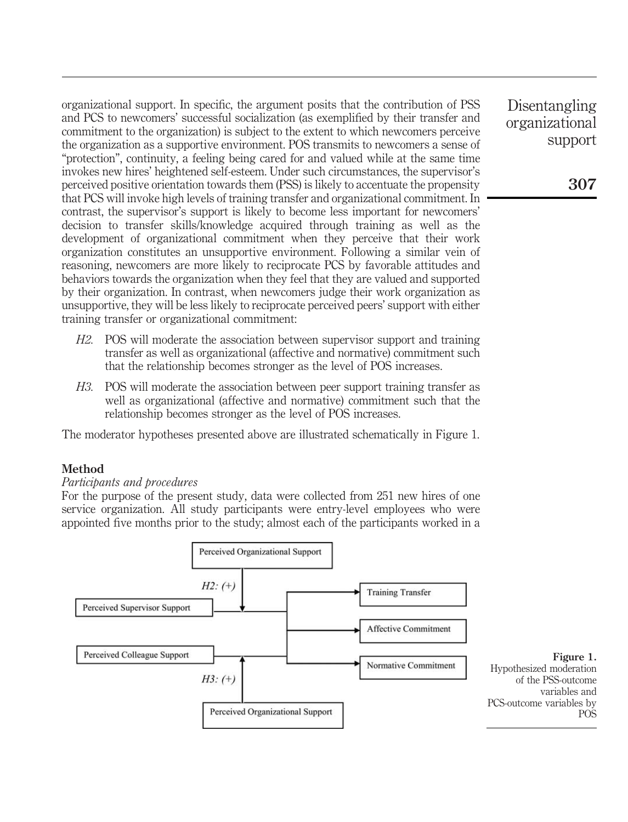organizational support. In specific, the argument posits that the contribution of PSS and PCS to newcomers' successful socialization (as exemplified by their transfer and commitment to the organization) is subject to the extent to which newcomers perceive the organization as a supportive environment. POS transmits to newcomers a sense of "protection", continuity, a feeling being cared for and valued while at the same time invokes new hires' heightened self-esteem. Under such circumstances, the supervisor's perceived positive orientation towards them (PSS) is likely to accentuate the propensity that PCS will invoke high levels of training transfer and organizational commitment. In contrast, the supervisor's support is likely to become less important for newcomers' decision to transfer skills/knowledge acquired through training as well as the development of organizational commitment when they perceive that their work organization constitutes an unsupportive environment. Following a similar vein of reasoning, newcomers are more likely to reciprocate PCS by favorable attitudes and behaviors towards the organization when they feel that they are valued and supported by their organization. In contrast, when newcomers judge their work organization as unsupportive, they will be less likely to reciprocate perceived peers' support with either training transfer or organizational commitment:

- H2. POS will moderate the association between supervisor support and training transfer as well as organizational (affective and normative) commitment such that the relationship becomes stronger as the level of POS increases.
- H3. POS will moderate the association between peer support training transfer as well as organizational (affective and normative) commitment such that the relationship becomes stronger as the level of POS increases.

The moderator hypotheses presented above are illustrated schematically in Figure 1.

#### **Method**

#### Participants and procedures

For the purpose of the present study, data were collected from 251 new hires of one service organization. All study participants were entry-level employees who were appointed five months prior to the study; almost each of the participants worked in a



Disentangling organizational support

Figure 1.

POS

of the PSS-outcome variables and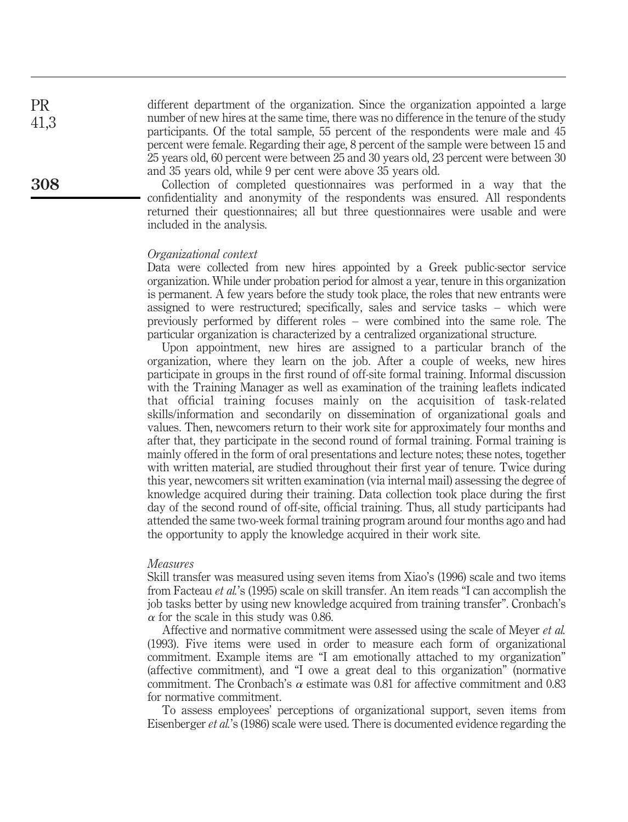| <b>PR</b> | different department of the organization. Since the organization appointed a large       |
|-----------|------------------------------------------------------------------------------------------|
| 41,3      | number of new hires at the same time, there was no difference in the tenure of the study |
|           | participants. Of the total sample, 55 percent of the respondents were male and 45        |
|           | percent were female. Regarding their age, 8 percent of the sample were between 15 and    |
|           | 25 years old, 60 percent were between 25 and 30 years old, 23 percent were between 30    |
|           | and 35 years old, while 9 per cent were above 35 years old.                              |
| 308       | Collection of completed questionnaires was performed in a way that the                   |
|           | confidentiality and anonymity of the respondents was ensured. All respondents            |
|           | returned their questionnaires; all but three questionnaires were usable and were         |

#### Organizational context

included in the analysis.

Data were collected from new hires appointed by a Greek public-sector service organization. While under probation period for almost a year, tenure in this organization is permanent. A few years before the study took place, the roles that new entrants were assigned to were restructured; specifically, sales and service tasks – which were previously performed by different roles – were combined into the same role. The particular organization is characterized by a centralized organizational structure.

Upon appointment, new hires are assigned to a particular branch of the organization, where they learn on the job. After a couple of weeks, new hires participate in groups in the first round of off-site formal training. Informal discussion with the Training Manager as well as examination of the training leaflets indicated that official training focuses mainly on the acquisition of task-related skills/information and secondarily on dissemination of organizational goals and values. Then, newcomers return to their work site for approximately four months and after that, they participate in the second round of formal training. Formal training is mainly offered in the form of oral presentations and lecture notes; these notes, together with written material, are studied throughout their first year of tenure. Twice during this year, newcomers sit written examination (via internal mail) assessing the degree of knowledge acquired during their training. Data collection took place during the first day of the second round of off-site, official training. Thus, all study participants had attended the same two-week formal training program around four months ago and had the opportunity to apply the knowledge acquired in their work site.

#### Measures

Skill transfer was measured using seven items from Xiao's (1996) scale and two items from Facteau et al.'s (1995) scale on skill transfer. An item reads "I can accomplish the job tasks better by using new knowledge acquired from training transfer". Cronbach's  $\alpha$  for the scale in this study was 0.86.

Affective and normative commitment were assessed using the scale of Meyer *et al.* (1993). Five items were used in order to measure each form of organizational commitment. Example items are "I am emotionally attached to my organization" (affective commitment), and "I owe a great deal to this organization" (normative commitment. The Cronbach's  $\alpha$  estimate was 0.81 for affective commitment and 0.83 for normative commitment.

To assess employees' perceptions of organizational support, seven items from Eisenberger et al.'s (1986) scale were used. There is documented evidence regarding the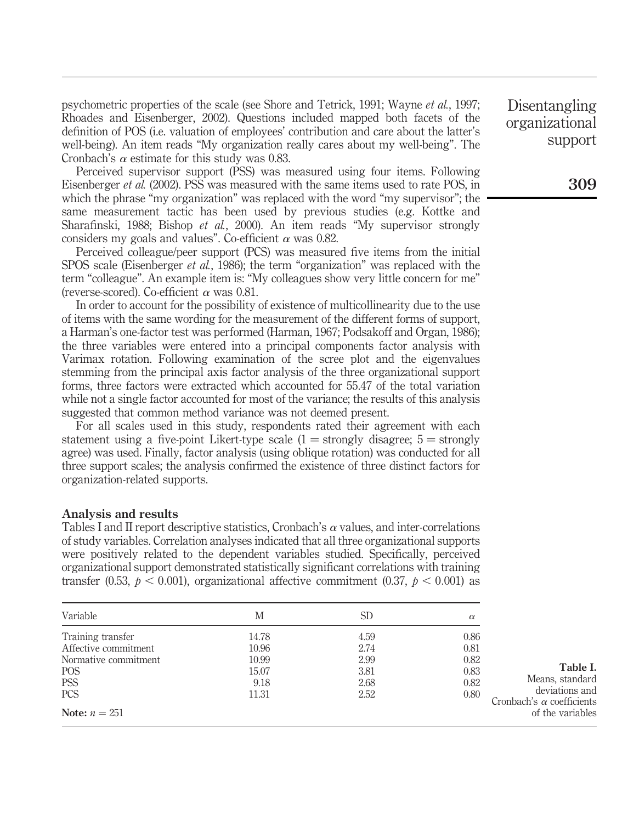psychometric properties of the scale (see Shore and Tetrick, 1991; Wayne et al., 1997; Rhoades and Eisenberger, 2002). Questions included mapped both facets of the definition of POS (i.e. valuation of employees' contribution and care about the latter's well-being). An item reads "My organization really cares about my well-being". The Cronbach's  $\alpha$  estimate for this study was 0.83.

Perceived supervisor support (PSS) was measured using four items. Following Eisenberger et al. (2002). PSS was measured with the same items used to rate POS, in which the phrase "my organization" was replaced with the word "my supervisor"; the same measurement tactic has been used by previous studies (e.g. Kottke and Sharafinski, 1988; Bishop et al., 2000). An item reads "My supervisor strongly considers my goals and values". Co-efficient  $\alpha$  was 0.82.

Perceived colleague/peer support (PCS) was measured five items from the initial SPOS scale (Eisenberger *et al.*, 1986); the term "organization" was replaced with the term "colleague". An example item is: "My colleagues show very little concern for me" (reverse-scored). Co-efficient  $\alpha$  was 0.81.

In order to account for the possibility of existence of multicollinearity due to the use of items with the same wording for the measurement of the different forms of support, a Harman's one-factor test was performed (Harman, 1967; Podsakoff and Organ, 1986); the three variables were entered into a principal components factor analysis with Varimax rotation. Following examination of the scree plot and the eigenvalues stemming from the principal axis factor analysis of the three organizational support forms, three factors were extracted which accounted for 55.47 of the total variation while not a single factor accounted for most of the variance; the results of this analysis suggested that common method variance was not deemed present.

For all scales used in this study, respondents rated their agreement with each statement using a five-point Likert-type scale  $(1 =$  strongly disagree;  $5 =$  strongly agree) was used. Finally, factor analysis (using oblique rotation) was conducted for all three support scales; the analysis confirmed the existence of three distinct factors for organization-related supports.

#### Analysis and results

Tables I and II report descriptive statistics, Cronbach's  $\alpha$  values, and inter-correlations of study variables. Correlation analyses indicated that all three organizational supports were positively related to the dependent variables studied. Specifically, perceived organizational support demonstrated statistically significant correlations with training transfer (0.53,  $p < 0.001$ ), organizational affective commitment (0.37,  $p < 0.001$ ) as

| Variable                                                                        | М                                | SD                           | $\alpha$                     |                                                                        |
|---------------------------------------------------------------------------------|----------------------------------|------------------------------|------------------------------|------------------------------------------------------------------------|
| Training transfer<br>Affective commitment<br>Normative commitment<br><b>POS</b> | 14.78<br>10.96<br>10.99<br>15.07 | 4.59<br>2.74<br>2.99<br>3.81 | 0.86<br>0.81<br>0.82<br>0.83 | Table I.<br>Means, standard                                            |
| <b>PSS</b><br><b>PCS</b><br>Note: $n = 251$                                     | 9.18<br>11.31                    | 2.68<br>2.52                 | 0.82<br>0.80                 | deviations and<br>Cronbach's $\alpha$ coefficients<br>of the variables |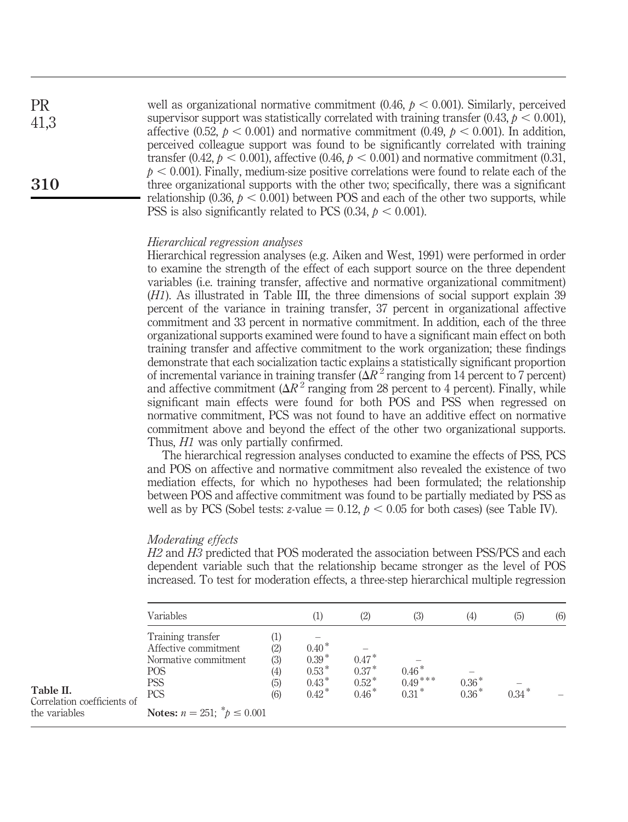well as organizational normative commitment  $(0.46, p < 0.001)$ . Similarly, perceived supervisor support was statistically correlated with training transfer (0.43,  $p < 0.001$ ), affective (0.52,  $p < 0.001$ ) and normative commitment (0.49,  $p < 0.001$ ). In addition, perceived colleague support was found to be significantly correlated with training transfer (0.42,  $p < 0.001$ ), affective (0.46,  $p < 0.001$ ) and normative commitment (0.31,  $p < 0.001$ ). Finally, medium-size positive correlations were found to relate each of the three organizational supports with the other two; specifically, there was a significant relationship  $(0.36, p < 0.001)$  between POS and each of the other two supports, while PSS is also significantly related to PCS  $(0.34, p < 0.001)$ . PR 41,3 310

#### Hierarchical regression analyses

Hierarchical regression analyses (e.g. Aiken and West, 1991) were performed in order to examine the strength of the effect of each support source on the three dependent variables (i.e. training transfer, affective and normative organizational commitment) (H1). As illustrated in Table III, the three dimensions of social support explain 39 percent of the variance in training transfer, 37 percent in organizational affective commitment and 33 percent in normative commitment. In addition, each of the three organizational supports examined were found to have a significant main effect on both training transfer and affective commitment to the work organization; these findings demonstrate that each socialization tactic explains a statistically significant proportion of incremental variance in training transfer  $(\Delta R^2$  ranging from 14 percent to 7 percent) and affective commitment  $(\Delta R^2$  ranging from 28 percent to 4 percent). Finally, while significant main effects were found for both POS and PSS when regressed on normative commitment, PCS was not found to have an additive effect on normative commitment above and beyond the effect of the other two organizational supports. Thus,  $H1$  was only partially confirmed.

The hierarchical regression analyses conducted to examine the effects of PSS, PCS and POS on affective and normative commitment also revealed the existence of two mediation effects, for which no hypotheses had been formulated; the relationship between POS and affective commitment was found to be partially mediated by PSS as well as by PCS (Sobel tests: z-value  $= 0.12$ ,  $p < 0.05$  for both cases) (see Table IV).

#### Moderating effects

H2 and H3 predicted that POS moderated the association between PSS/PCS and each dependent variable such that the relationship became stronger as the level of POS increased. To test for moderation effects, a three-step hierarchical multiple regression

|                                                           | Variables                                                                                                                                                   |                                                                   | $^{(1)}$                                            | (2)                                      | (3)                             | (4)                | (5)     | (6) |
|-----------------------------------------------------------|-------------------------------------------------------------------------------------------------------------------------------------------------------------|-------------------------------------------------------------------|-----------------------------------------------------|------------------------------------------|---------------------------------|--------------------|---------|-----|
| Table II.<br>Correlation coefficients of<br>the variables | Training transfer<br>Affective commitment<br>Normative commitment<br><b>POS</b><br><b>PSS</b><br><b>PCS</b><br>Notes: $n = 251$ ; $\binom{k}{p} \leq 0.001$ | (1)<br>(2)<br>$\left( 3\right)$<br>$\left(4\right)$<br>(5)<br>(6) | $0.40*$<br>$0.39*$<br>$0.53*$<br>$0.43*$<br>$0.42*$ | $0.47*$<br>$0.37*$<br>$0.52*$<br>$0.46*$ | $0.46*$<br>$0.49***$<br>$0.31*$ | $0.36*$<br>$0.36*$ | $0.34*$ |     |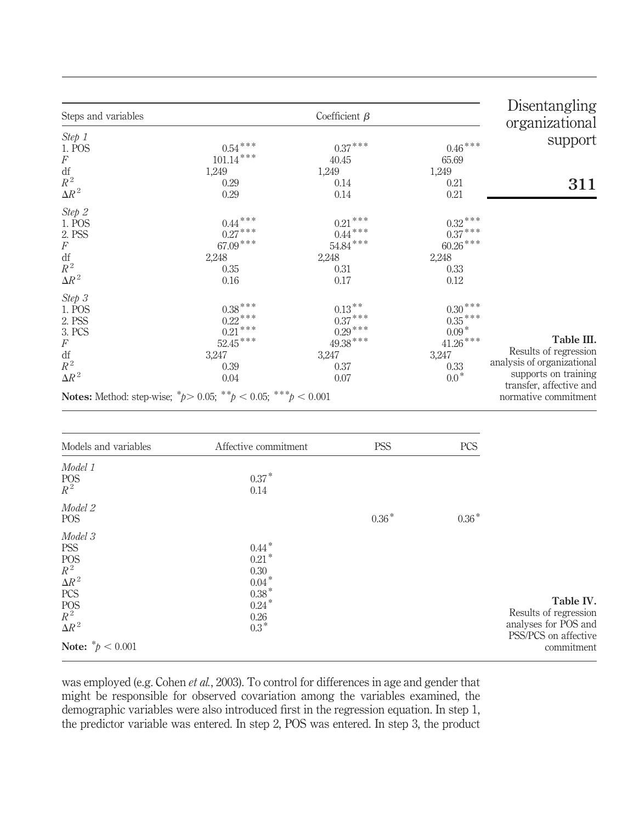| Steps and variables                                                                                 |                                                                                      | Coefficient $\beta$                                                                       |                                                                                                    | Disentangling<br>organizational                                                                                      |
|-----------------------------------------------------------------------------------------------------|--------------------------------------------------------------------------------------|-------------------------------------------------------------------------------------------|----------------------------------------------------------------------------------------------------|----------------------------------------------------------------------------------------------------------------------|
| Step 1<br>1. POS<br>$\cal F$<br>df<br>$R^2$<br>$\Delta R^2$                                         | $0.54$ $^{\ast\,*}$<br>$101.14^{\;***}$<br>1,249<br>0.29<br>0.29                     | $0.37^{\;***}$<br>40.45<br>1,249<br>0.14<br>0.14                                          | $0.46$ $^{\ast\,*\,*}$<br>65.69<br>1,249<br>0.21<br>0.21                                           | support<br>311                                                                                                       |
| Step 2<br>1. POS<br>2. PSS<br>$\cal F$<br>df<br>$\mathbb{R}^2$<br>$\Delta R^2$                      | $0.44$ $^{\ast\,*}$<br>$0.27***$<br>$67.09$ ***<br>2,248<br>0.35<br>0.16             | $0.21^{\;**\;*}$<br>$0.44^{\;***}$<br>$54.84^{\;***}$<br>2,248<br>0.31<br>0.17            | $0.32^{\,***}$<br>$0.37***$<br>$60.26^{\,***}$<br>2,248<br>0.33<br>0.12                            |                                                                                                                      |
| Step 3<br>1. POS<br>2. PSS<br>3. PCS<br>$\cal F$<br>$\mathrm{d}\mathrm{f}$<br>$R^2$<br>$\Delta R^2$ | $0.38^{\,***}$<br>$0.22***$<br>$0.21***$<br>$52.45^{\;***}$<br>3,247<br>0.39<br>0.04 | $0.13$ $^{\ast\,*}$<br>$0.37***$<br>$0.29***$<br>$49.38^{\,***}$<br>3,247<br>0.37<br>0.07 | $0.30^{\,***}$<br>$0.35^{\,***}$<br>$0.09*$<br>${41.26}^{\ast\ast\ast}$<br>3,247<br>0.33<br>$0.0*$ | Table III.<br>Results of regression<br>analysis of organizational<br>supports on training<br>transfer, affective and |
|                                                                                                     | <b>Notes:</b> Method: step-wise; $^{*}p > 0.05$ ; $^{*}p < 0.05$ ; $^{*}p < 0.001$   |                                                                                           |                                                                                                    | normative commitment                                                                                                 |

| Models and variables                                                                                               | Affective commitment                                                                      | <b>PSS</b> | <b>PCS</b> |                                                                                    |
|--------------------------------------------------------------------------------------------------------------------|-------------------------------------------------------------------------------------------|------------|------------|------------------------------------------------------------------------------------|
| Model 1<br>$\frac{POS}{R^2}$                                                                                       | $0.37*$<br>0.14                                                                           |            |            |                                                                                    |
| Model 2<br><b>POS</b>                                                                                              |                                                                                           | $0.36*$    | $0.36*$    |                                                                                    |
| Model 3<br><b>PSS</b><br>$\frac{POS}{R^2}$<br>$\Delta R^2$<br>PCS<br>$\operatorname*{POS}_{R^{2}}$<br>$\Delta R^2$ | $0.44*$<br>$0.21$ <sup>*</sup><br>0.30<br>$0.04*$<br>$0.38*$<br>$0.24*$<br>0.26<br>$0.3*$ |            |            | Table IV.<br>Results of regression<br>analyses for POS and<br>PSS/PCS on affective |
| <b>Note:</b> $^*p < 0.001$                                                                                         |                                                                                           |            |            | commitment                                                                         |

was employed (e.g. Cohen et al., 2003). To control for differences in age and gender that might be responsible for observed covariation among the variables examined, the demographic variables were also introduced first in the regression equation. In step 1, the predictor variable was entered. In step 2, POS was entered. In step 3, the product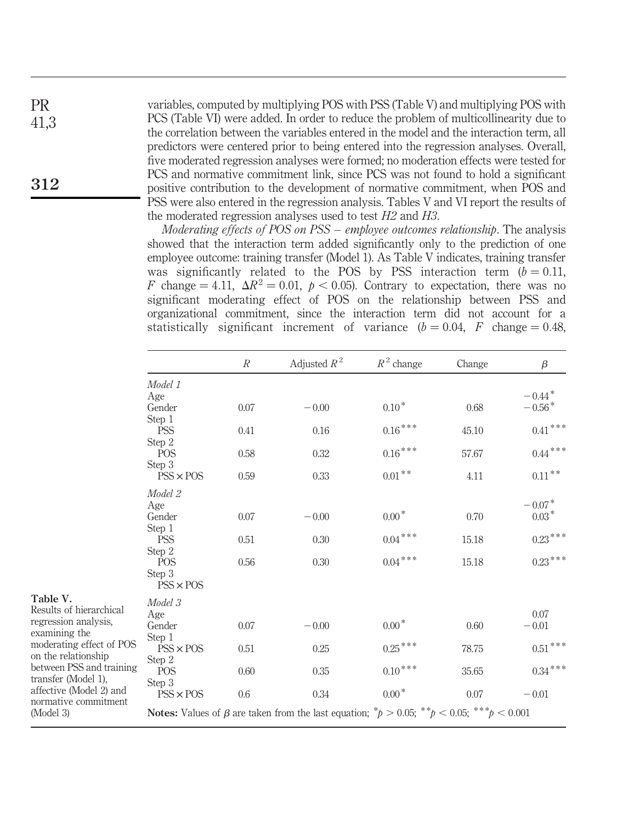variables, computed by multiplying POS with PSS (Table V) and multiplying POS with PCS (Table VI) were added. In order to reduce the problem of multicollinearity due to the correlation between the variables entered in the model and the interaction term, all predictors were centered prior to being entered into the regression analyses. Overall, five moderated regression analyses were formed; no moderation effects were tested for PCS and normative commitment link, since PCS was not found to hold a significant positive contribution to the development of normative commitment, when POS and PSS were also entered in the regression analysis. Tables V and VI report the results of the moderated regression analyses used to test H2 and H3.

Moderating effects of POS on PSS – employee outcomes relationship. The analysis showed that the interaction term added significantly only to the prediction of one employee outcome: training transfer (Model 1). As Table V indicates, training transfer was significantly related to the POS by PSS interaction term  $(b = 0.11,$ F change = 4.11,  $\Delta R^2 = 0.01$ ,  $p < 0.05$ ). Contrary to expectation, there was no significant moderating effect of POS on the relationship between PSS and organizational commitment, since the interaction term did not account for a statistically significant increment of variance  $(b = 0.04, F \text{ change} = 0.48,$ 

|                                                                                          |                                                    | $\cal R$ | Adjusted $R^2$                                                                                                      | $R^2$ change                   | Change | $\beta$                          |
|------------------------------------------------------------------------------------------|----------------------------------------------------|----------|---------------------------------------------------------------------------------------------------------------------|--------------------------------|--------|----------------------------------|
|                                                                                          | Model 1<br>Age                                     |          |                                                                                                                     |                                |        | $-0.44*$                         |
|                                                                                          | Gender<br>Step 1                                   | 0.07     | $-0.00$                                                                                                             | $0.10*$                        | 0.68   | $-0.56*$                         |
|                                                                                          | <b>PSS</b><br>Step 2                               | 0.41     | 0.16                                                                                                                | $0.16$ $\hspace{-1.5mm}^{***}$ | 45.10  | $0.41***$                        |
|                                                                                          | <b>POS</b><br>Step 3                               | 0.58     | 0.32                                                                                                                | $0.16$ $\hspace{-1.5mm}^{***}$ | 57.67  | $0.44***$                        |
|                                                                                          | $PSS \times POS$                                   | 0.59     | 0.33                                                                                                                | $0.01^{\,*\,*}$                | 4.11   | $0.11\,^{\ast\,*}$               |
|                                                                                          | Model 2<br>Age<br>Gender                           | 0.07     | $-0.00$                                                                                                             | $0.00*$                        | 0.70   | $- \, 0.07^{\, \ast}$<br>$0.03*$ |
|                                                                                          | Step 1<br><b>PSS</b>                               | 0.51     | 0.30                                                                                                                | $0.04$ $^{\ast\,*\,*}$         | 15.18  | $0.23***$                        |
|                                                                                          | Step 2<br><b>POS</b><br>Step 3<br>$PSS \times POS$ | 0.56     | 0.30                                                                                                                | $0.04$ $\hspace{-1.5mm}^{***}$ | 15.18  | $0.23***$                        |
| Table V.<br>Results of hierarchical                                                      | Model 3<br>Age                                     |          |                                                                                                                     |                                |        | 0.07                             |
| regression analysis,<br>examining the<br>moderating effect of POS<br>on the relationship | Gender<br>Step 1                                   | 0.07     | $-0.00$                                                                                                             | $0.00*$                        | 0.60   | $-0.01$                          |
|                                                                                          | $PSS \times POS$<br>Step 2                         | 0.51     | 0.25                                                                                                                | $0.25^{\,***}$                 | 78.75  | $0.51***$                        |
| between PSS and training<br>transfer (Model 1),                                          | <b>POS</b><br>Step 3                               | 0.60     | 0.35                                                                                                                | $0.10^{\,***}$                 | 35.65  | $0.34***$                        |
| affective (Model 2) and<br>normative commitment                                          | $PSS \times POS$                                   | 0.6      | 0.34                                                                                                                | $0.00*$                        | 0.07   | $-0.01$                          |
| (Model 3)                                                                                |                                                    |          | <b>Notes:</b> Values of $\beta$ are taken from the last equation; $^*p > 0.05$ ; $^{**}p < 0.05$ ; $^{**}p < 0.001$ |                                |        |                                  |

312

PR 41,3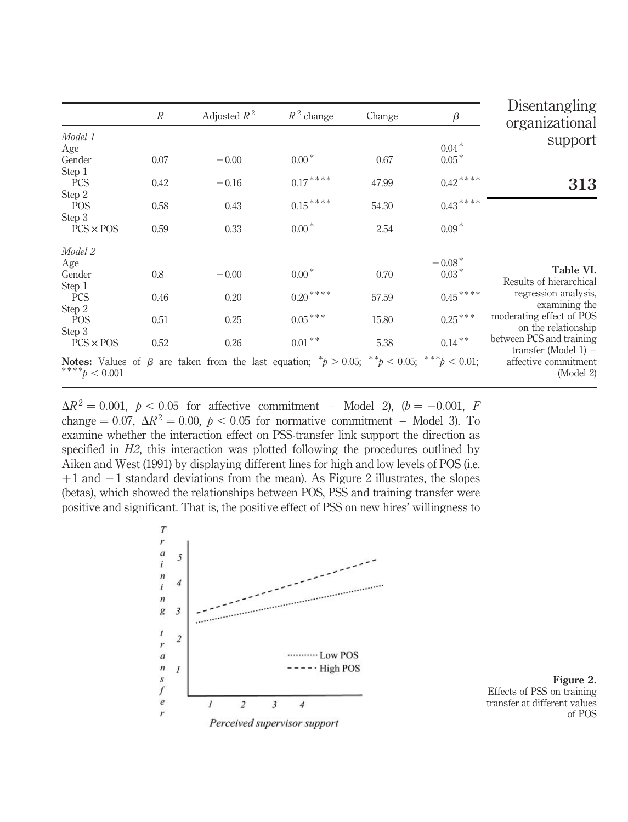|                  | $\mathbb{R}^n$ | Adjusted $R^2$ | $R^2$ change                                                                                       | Change | $\beta$                     | Disentangling<br>organizational                     |
|------------------|----------------|----------------|----------------------------------------------------------------------------------------------------|--------|-----------------------------|-----------------------------------------------------|
| Model 1          |                |                |                                                                                                    |        |                             | support                                             |
| Age              |                |                |                                                                                                    |        | $0.04*$                     |                                                     |
| Gender           | 0.07           | $-0.00$        | $0.00*$                                                                                            | 0.67   | $0.05*$                     |                                                     |
| Step 1           |                |                |                                                                                                    |        |                             |                                                     |
| <b>PCS</b>       | 0.42           | $-0.16$        | ${0.17}^{\ast\ast\ast\ast}$                                                                        | 47.99  | ${0.42}^{\ast\ast\ast\ast}$ | 313                                                 |
| Step 2           |                |                |                                                                                                    |        |                             |                                                     |
| <b>POS</b>       | 0.58           | 0.43           | $0.15^{\,***\,*}$                                                                                  | 54.30  | $0.43^{\,***}$              |                                                     |
| Step 3           |                |                |                                                                                                    |        |                             |                                                     |
| $PCS \times POS$ | 0.59           | 0.33           | $0.00*$                                                                                            | 2.54   | $0.09*$                     |                                                     |
| Model 2          |                |                |                                                                                                    |        |                             |                                                     |
| Age              |                |                |                                                                                                    |        | $-0.08*$                    |                                                     |
| Gender           | 0.8            | $-0.00$        | $0.00*$                                                                                            | 0.70   | $0.03*$                     | Table VI.                                           |
| Step 1           |                |                |                                                                                                    |        |                             | Results of hierarchical                             |
| <b>PCS</b>       | 0.46           | 0.20           | ${0.20}^{\ast\ast\ast\ast}$                                                                        | 57.59  | $0.45^{\,***\,*}$           | regression analysis,                                |
| Step 2           |                |                |                                                                                                    |        |                             | examining the                                       |
| <b>POS</b>       | 0.51           | 0.25           | $0.05***$                                                                                          | 15.80  | $0.25***$                   | moderating effect of POS                            |
| Step 3           |                |                |                                                                                                    |        |                             | on the relationship                                 |
| $PCS \times POS$ | 0.52           | 0.26           | $0.01^{\,*\,*}$                                                                                    | 5.38   | $0.14***$                   | between PCS and training<br>transfer (Model $1$ ) – |
| **** $p < 0.001$ |                |                | <b>Notes:</b> Values of $\beta$ are taken from the last equation; $^*p > 0.05$ ; $^{**}p < 0.05$ ; |        | *** $p < 0.01$ ;            | affective commitment<br>(Model 2)                   |

 $\Delta R^2 = 0.001$ ,  $p < 0.05$  for affective commitment – Model 2),  $(b = -0.001, F)$ change = 0.07,  $\Delta R^2$  = 0.00,  $p < 0.05$  for normative commitment – Model 3). To examine whether the interaction effect on PSS-transfer link support the direction as specified in H2, this interaction was plotted following the procedures outlined by Aiken and West (1991) by displaying different lines for high and low levels of POS (i.e.  $+1$  and  $-1$  standard deviations from the mean). As Figure 2 illustrates, the slopes (betas), which showed the relationships between POS, PSS and training transfer were positive and significant. That is, the positive effect of PSS on new hires' willingness to



Figure 2. Effects of PSS on training transfer at different values of POS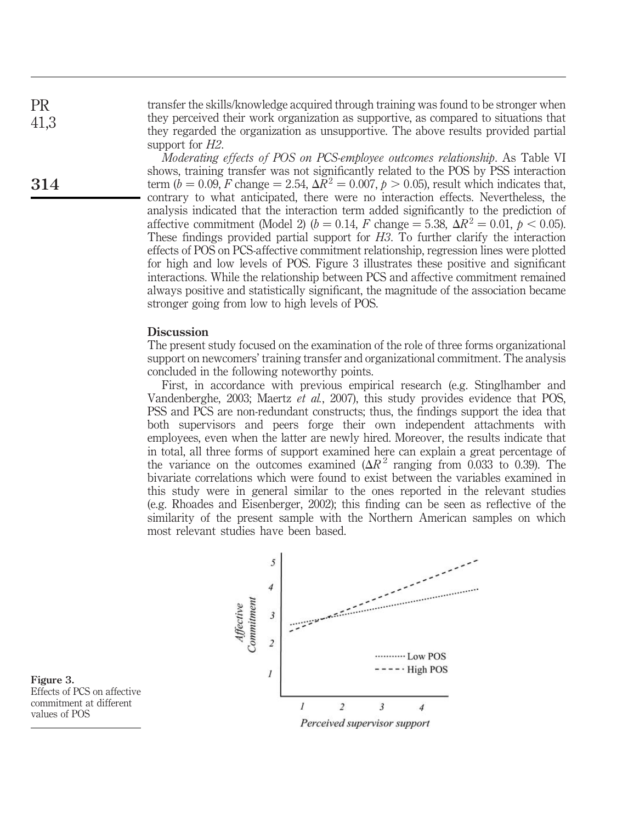transfer the skills/knowledge acquired through training was found to be stronger when they perceived their work organization as supportive, as compared to situations that they regarded the organization as unsupportive. The above results provided partial support for  $H2$ .

Moderating effects of POS on PCS-employee outcomes relationship. As Table VI shows, training transfer was not significantly related to the POS by PSS interaction term ( $b = 0.09$ , F change = 2.54,  $\Delta R^2 = 0.007$ ,  $p > 0.05$ ), result which indicates that, contrary to what anticipated, there were no interaction effects. Nevertheless, the analysis indicated that the interaction term added significantly to the prediction of affective commitment (Model 2) ( $b = 0.14$ , F change  $= 5.38$ ,  $\Delta R^2 = 0.01$ ,  $p < 0.05$ ). These findings provided partial support for H3. To further clarify the interaction effects of POS on PCS-affective commitment relationship, regression lines were plotted for high and low levels of POS. Figure 3 illustrates these positive and significant interactions. While the relationship between PCS and affective commitment remained always positive and statistically significant, the magnitude of the association became stronger going from low to high levels of POS.

#### **Discussion**

The present study focused on the examination of the role of three forms organizational support on newcomers' training transfer and organizational commitment. The analysis concluded in the following noteworthy points.

First, in accordance with previous empirical research (e.g. Stinglhamber and Vandenberghe, 2003; Maertz et al., 2007), this study provides evidence that POS, PSS and PCS are non-redundant constructs; thus, the findings support the idea that both supervisors and peers forge their own independent attachments with employees, even when the latter are newly hired. Moreover, the results indicate that in total, all three forms of support examined here can explain a great percentage of the variance on the outcomes examined  $(\Delta R^2$  ranging from 0.033 to 0.39). The bivariate correlations which were found to exist between the variables examined in this study were in general similar to the ones reported in the relevant studies (e.g. Rhoades and Eisenberger, 2002); this finding can be seen as reflective of the similarity of the present sample with the Northern American samples on which most relevant studies have been based.



Figure 3. Effects of PCS on affective commitment at different values of POS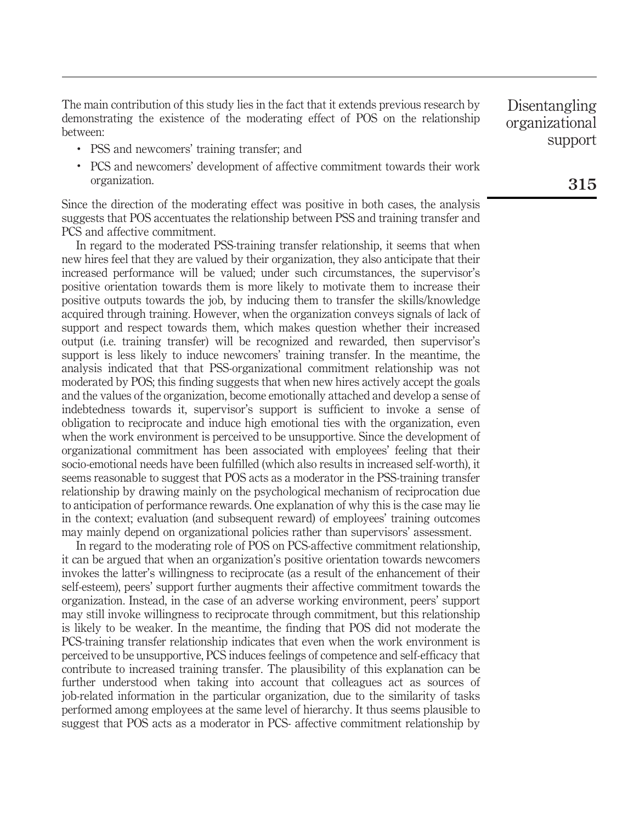The main contribution of this study lies in the fact that it extends previous research by demonstrating the existence of the moderating effect of POS on the relationship between:

- . PSS and newcomers' training transfer; and
- . PCS and newcomers' development of affective commitment towards their work organization.

Since the direction of the moderating effect was positive in both cases, the analysis suggests that POS accentuates the relationship between PSS and training transfer and PCS and affective commitment.

In regard to the moderated PSS-training transfer relationship, it seems that when new hires feel that they are valued by their organization, they also anticipate that their increased performance will be valued; under such circumstances, the supervisor's positive orientation towards them is more likely to motivate them to increase their positive outputs towards the job, by inducing them to transfer the skills/knowledge acquired through training. However, when the organization conveys signals of lack of support and respect towards them, which makes question whether their increased output (i.e. training transfer) will be recognized and rewarded, then supervisor's support is less likely to induce newcomers' training transfer. In the meantime, the analysis indicated that that PSS-organizational commitment relationship was not moderated by POS; this finding suggests that when new hires actively accept the goals and the values of the organization, become emotionally attached and develop a sense of indebtedness towards it, supervisor's support is sufficient to invoke a sense of obligation to reciprocate and induce high emotional ties with the organization, even when the work environment is perceived to be unsupportive. Since the development of organizational commitment has been associated with employees' feeling that their socio-emotional needs have been fulfilled (which also results in increased self-worth), it seems reasonable to suggest that POS acts as a moderator in the PSS-training transfer relationship by drawing mainly on the psychological mechanism of reciprocation due to anticipation of performance rewards. One explanation of why this is the case may lie in the context; evaluation (and subsequent reward) of employees' training outcomes may mainly depend on organizational policies rather than supervisors' assessment.

In regard to the moderating role of POS on PCS-affective commitment relationship, it can be argued that when an organization's positive orientation towards newcomers invokes the latter's willingness to reciprocate (as a result of the enhancement of their self-esteem), peers' support further augments their affective commitment towards the organization. Instead, in the case of an adverse working environment, peers' support may still invoke willingness to reciprocate through commitment, but this relationship is likely to be weaker. In the meantime, the finding that POS did not moderate the PCS-training transfer relationship indicates that even when the work environment is perceived to be unsupportive, PCS induces feelings of competence and self-efficacy that contribute to increased training transfer. The plausibility of this explanation can be further understood when taking into account that colleagues act as sources of job-related information in the particular organization, due to the similarity of tasks performed among employees at the same level of hierarchy. It thus seems plausible to suggest that POS acts as a moderator in PCS- affective commitment relationship by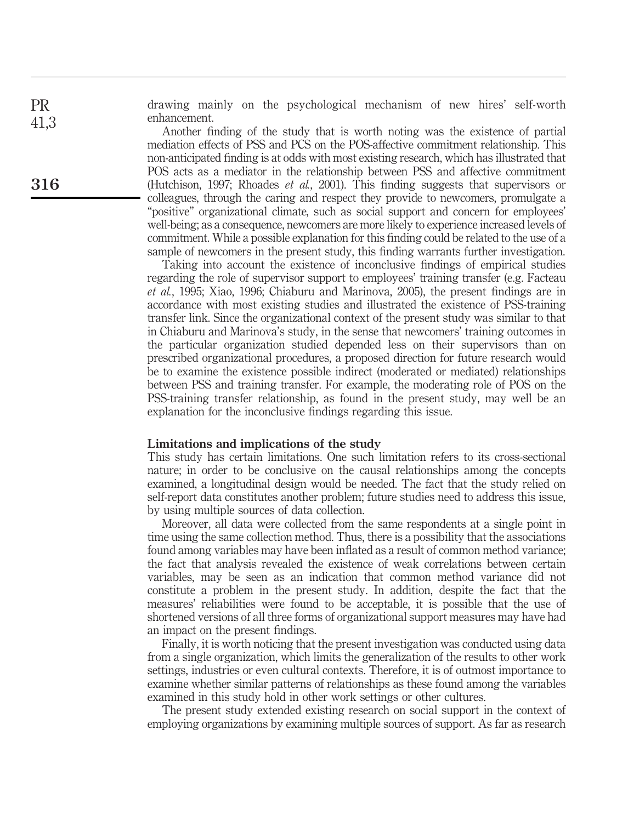drawing mainly on the psychological mechanism of new hires' self-worth enhancement.

Another finding of the study that is worth noting was the existence of partial mediation effects of PSS and PCS on the POS-affective commitment relationship. This non-anticipated finding is at odds with most existing research, which has illustrated that POS acts as a mediator in the relationship between PSS and affective commitment (Hutchison, 1997; Rhoades et al., 2001). This finding suggests that supervisors or colleagues, through the caring and respect they provide to newcomers, promulgate a "positive" organizational climate, such as social support and concern for employees' well-being; as a consequence, newcomers are more likely to experience increased levels of commitment. While a possible explanation for this finding could be related to the use of a sample of newcomers in the present study, this finding warrants further investigation.

Taking into account the existence of inconclusive findings of empirical studies regarding the role of supervisor support to employees' training transfer (e.g. Facteau et al., 1995; Xiao, 1996; Chiaburu and Marinova, 2005), the present findings are in accordance with most existing studies and illustrated the existence of PSS-training transfer link. Since the organizational context of the present study was similar to that in Chiaburu and Marinova's study, in the sense that newcomers' training outcomes in the particular organization studied depended less on their supervisors than on prescribed organizational procedures, a proposed direction for future research would be to examine the existence possible indirect (moderated or mediated) relationships between PSS and training transfer. For example, the moderating role of POS on the PSS-training transfer relationship, as found in the present study, may well be an explanation for the inconclusive findings regarding this issue.

#### Limitations and implications of the study

This study has certain limitations. One such limitation refers to its cross-sectional nature; in order to be conclusive on the causal relationships among the concepts examined, a longitudinal design would be needed. The fact that the study relied on self-report data constitutes another problem; future studies need to address this issue, by using multiple sources of data collection.

Moreover, all data were collected from the same respondents at a single point in time using the same collection method. Thus, there is a possibility that the associations found among variables may have been inflated as a result of common method variance; the fact that analysis revealed the existence of weak correlations between certain variables, may be seen as an indication that common method variance did not constitute a problem in the present study. In addition, despite the fact that the measures' reliabilities were found to be acceptable, it is possible that the use of shortened versions of all three forms of organizational support measures may have had an impact on the present findings.

Finally, it is worth noticing that the present investigation was conducted using data from a single organization, which limits the generalization of the results to other work settings, industries or even cultural contexts. Therefore, it is of outmost importance to examine whether similar patterns of relationships as these found among the variables examined in this study hold in other work settings or other cultures.

The present study extended existing research on social support in the context of employing organizations by examining multiple sources of support. As far as research

316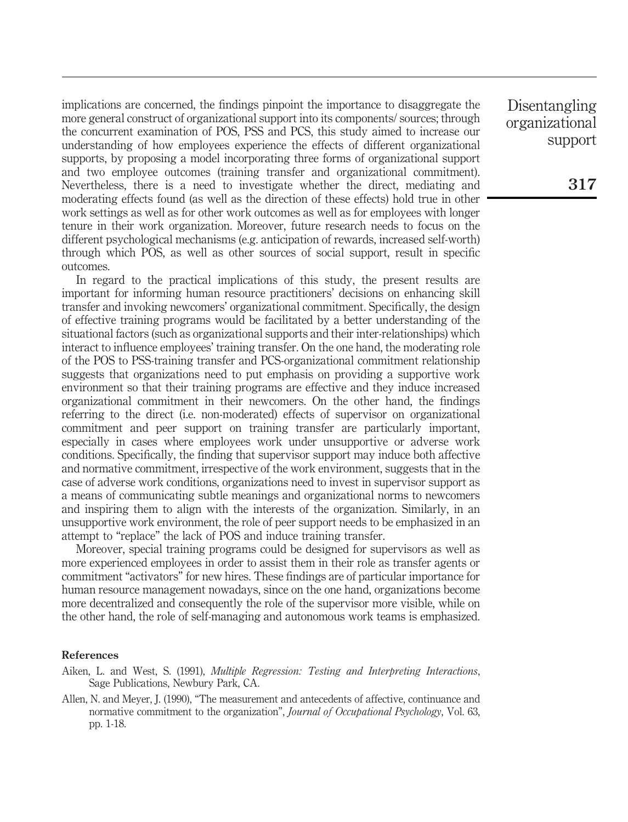implications are concerned, the findings pinpoint the importance to disaggregate the more general construct of organizational support into its components/ sources; through the concurrent examination of POS, PSS and PCS, this study aimed to increase our understanding of how employees experience the effects of different organizational supports, by proposing a model incorporating three forms of organizational support and two employee outcomes (training transfer and organizational commitment). Nevertheless, there is a need to investigate whether the direct, mediating and moderating effects found (as well as the direction of these effects) hold true in other work settings as well as for other work outcomes as well as for employees with longer tenure in their work organization. Moreover, future research needs to focus on the different psychological mechanisms (e.g. anticipation of rewards, increased self-worth) through which POS, as well as other sources of social support, result in specific outcomes.

In regard to the practical implications of this study, the present results are important for informing human resource practitioners' decisions on enhancing skill transfer and invoking newcomers' organizational commitment. Specifically, the design of effective training programs would be facilitated by a better understanding of the situational factors (such as organizational supports and their inter-relationships) which interact to influence employees' training transfer. On the one hand, the moderating role of the POS to PSS-training transfer and PCS-organizational commitment relationship suggests that organizations need to put emphasis on providing a supportive work environment so that their training programs are effective and they induce increased organizational commitment in their newcomers. On the other hand, the findings referring to the direct (i.e. non-moderated) effects of supervisor on organizational commitment and peer support on training transfer are particularly important, especially in cases where employees work under unsupportive or adverse work conditions. Specifically, the finding that supervisor support may induce both affective and normative commitment, irrespective of the work environment, suggests that in the case of adverse work conditions, organizations need to invest in supervisor support as a means of communicating subtle meanings and organizational norms to newcomers and inspiring them to align with the interests of the organization. Similarly, in an unsupportive work environment, the role of peer support needs to be emphasized in an attempt to "replace" the lack of POS and induce training transfer.

Moreover, special training programs could be designed for supervisors as well as more experienced employees in order to assist them in their role as transfer agents or commitment "activators" for new hires. These findings are of particular importance for human resource management nowadays, since on the one hand, organizations become more decentralized and consequently the role of the supervisor more visible, while on the other hand, the role of self-managing and autonomous work teams is emphasized.

#### References

- Aiken, L. and West, S. (1991), Multiple Regression: Testing and Interpreting Interactions, Sage Publications, Newbury Park, CA.
- Allen, N. and Meyer, J. (1990), "The measurement and antecedents of affective, continuance and normative commitment to the organization", *Journal of Occupational Psychology*, Vol. 63, pp. 1-18.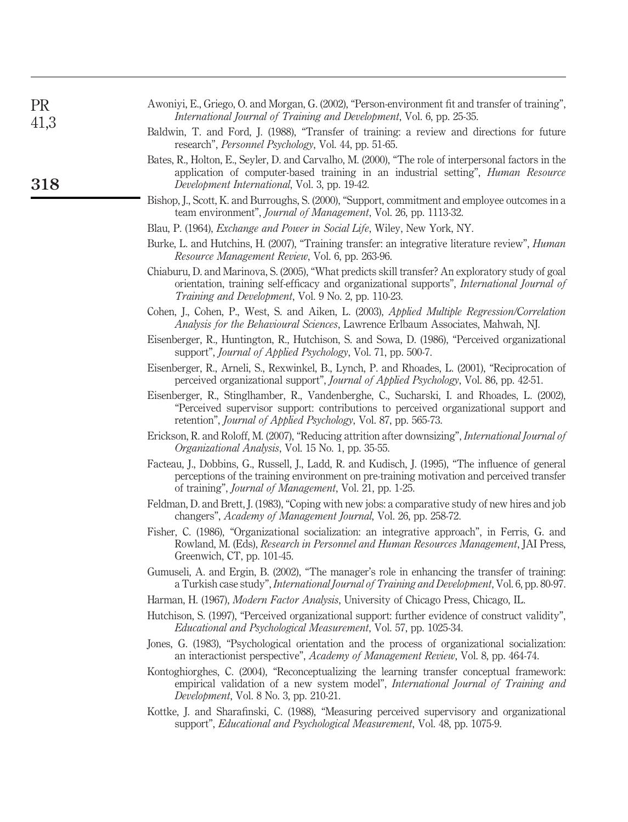| <b>PR</b><br>41,3 | Awoniyi, E., Griego, O. and Morgan, G. (2002), "Person-environment fit and transfer of training",<br>International Journal of Training and Development, Vol. 6, pp. 25-35.                                                                                    |
|-------------------|---------------------------------------------------------------------------------------------------------------------------------------------------------------------------------------------------------------------------------------------------------------|
|                   | Baldwin, T. and Ford, J. (1988), "Transfer of training: a review and directions for future<br>research", Personnel Psychology, Vol. 44, pp. 51-65.                                                                                                            |
| 318               | Bates, R., Holton, E., Seyler, D. and Carvalho, M. (2000), "The role of interpersonal factors in the<br>application of computer-based training in an industrial setting", Human Resource<br>Development International, Vol. 3, pp. 19-42.                     |
|                   | Bishop, J., Scott, K. and Burroughs, S. (2000), "Support, commitment and employee outcomes in a<br>team environment", Journal of Management, Vol. 26, pp. 1113-32.                                                                                            |
|                   | Blau, P. (1964), Exchange and Power in Social Life, Wiley, New York, NY.                                                                                                                                                                                      |
|                   | Burke, L. and Hutchins, H. (2007), "Training transfer: an integrative literature review", Human<br><i>Resource Management Review, Vol. 6, pp. 263-96.</i>                                                                                                     |
|                   | Chiaburu, D. and Marinova, S. (2005), "What predicts skill transfer? An exploratory study of goal<br>orientation, training self-efficacy and organizational supports", International Journal of<br>Training and Development, Vol. 9 No. 2, pp. 110-23.        |
|                   | Cohen, J., Cohen, P., West, S. and Aiken, L. (2003), Applied Multiple Regression/Correlation<br>Analysis for the Behavioural Sciences, Lawrence Erlbaum Associates, Mahwah, NJ.                                                                               |
|                   | Eisenberger, R., Huntington, R., Hutchison, S. and Sowa, D. (1986), "Perceived organizational<br>support", <i>Journal of Applied Psychology</i> , Vol. 71, pp. 500-7.                                                                                         |
|                   | Eisenberger, R., Arneli, S., Rexwinkel, B., Lynch, P. and Rhoades, L. (2001), "Reciprocation of<br>perceived organizational support", <i>Journal of Applied Psychology</i> , Vol. 86, pp. 42-51.                                                              |
|                   | Eisenberger, R., Stinglhamber, R., Vandenberghe, C., Sucharski, I. and Rhoades, L. (2002),<br>"Perceived supervisor support: contributions to perceived organizational support and<br>retention", <i>Journal of Applied Psychology</i> , Vol. 87, pp. 565-73. |
|                   | Erickson, R. and Roloff, M. (2007), "Reducing attrition after downsizing", International Journal of<br>Organizational Analysis, Vol. 15 No. 1, pp. 35-55.                                                                                                     |
|                   | Facteau, J., Dobbins, G., Russell, J., Ladd, R. and Kudisch, J. (1995), "The influence of general<br>perceptions of the training environment on pre-training motivation and perceived transfer<br>of training", Journal of Management, Vol. 21, pp. 1-25.     |
|                   | Feldman, D. and Brett, J. (1983), "Coping with new jobs: a comparative study of new hires and job<br>changers", Academy of Management Journal, Vol. 26, pp. 258-72.                                                                                           |
|                   | Fisher, C. (1986), "Organizational socialization: an integrative approach", in Ferris, G. and<br>Rowland, M. (Eds), Research in Personnel and Human Resources Management, JAI Press,<br>Greenwich, CT, pp. 101-45.                                            |
|                   | Gumuseli, A. and Ergin, B. (2002), "The manager's role in enhancing the transfer of training:<br>a Turkish case study", International Journal of Training and Development, Vol. 6, pp. 80-97.                                                                 |
|                   | Harman, H. (1967), Modern Factor Analysis, University of Chicago Press, Chicago, IL.                                                                                                                                                                          |
|                   | Hutchison, S. (1997), "Perceived organizational support: further evidence of construct validity",<br>Educational and Psychological Measurement, Vol. 57, pp. 1025-34.                                                                                         |
|                   | Jones, G. (1983), "Psychological orientation and the process of organizational socialization:<br>an interactionist perspective", Academy of Management Review, Vol. 8, pp. 464-74.                                                                            |
|                   | Kontoghiorghes, C. (2004), "Reconceptualizing the learning transfer conceptual framework:<br>empirical validation of a new system model", International Journal of Training and<br>Development, Vol. 8 No. 3, pp. 210-21.                                     |
|                   | Kottke, J. and Sharafinski, C. (1988), "Measuring perceived supervisory and organizational<br>support", Educational and Psychological Measurement, Vol. 48, pp. 1075-9.                                                                                       |
|                   |                                                                                                                                                                                                                                                               |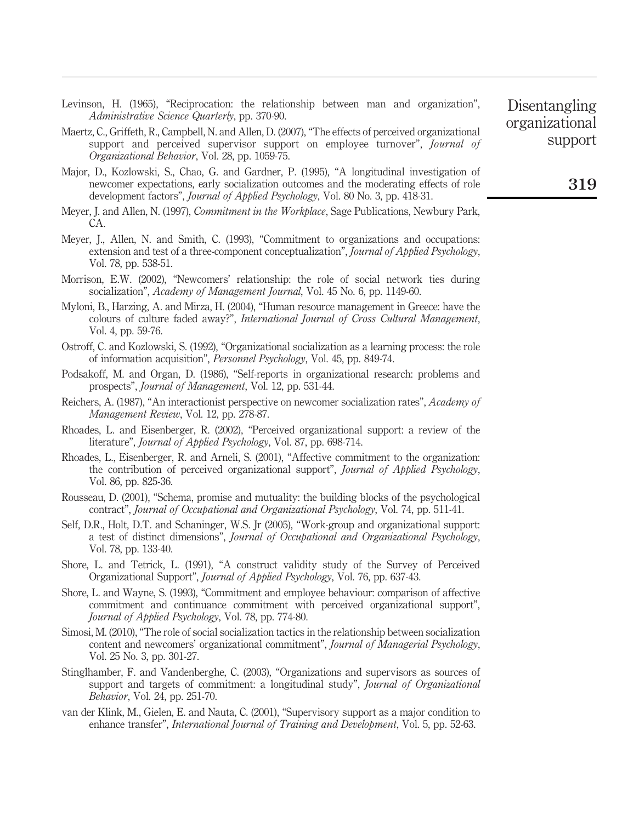- Levinson, H. (1965), "Reciprocation: the relationship between man and organization", Administrative Science Quarterly, pp. 370-90.
- Maertz, C., Griffeth, R., Campbell, N. and Allen, D. (2007), "The effects of perceived organizational support and perceived supervisor support on employee turnover", *Journal of* Organizational Behavior, Vol. 28, pp. 1059-75.
- Major, D., Kozlowski, S., Chao, G. and Gardner, P. (1995), "A longitudinal investigation of newcomer expectations, early socialization outcomes and the moderating effects of role development factors", Journal of Applied Psychology, Vol. 80 No. 3, pp. 418-31.
- Meyer, J. and Allen, N. (1997), *Commitment in the Workplace*, Sage Publications, Newbury Park, CA.
- Meyer, J., Allen, N. and Smith, C. (1993), "Commitment to organizations and occupations: extension and test of a three-component conceptualization", Journal of Applied Psychology, Vol. 78, pp. 538-51.
- Morrison, E.W. (2002), "Newcomers' relationship: the role of social network ties during socialization", Academy of Management Journal, Vol. 45 No. 6, pp. 1149-60.
- Myloni, B., Harzing, A. and Mirza, H. (2004), "Human resource management in Greece: have the colours of culture faded away?", International Journal of Cross Cultural Management, Vol. 4, pp. 59-76.
- Ostroff, C. and Kozlowski, S. (1992), "Organizational socialization as a learning process: the role of information acquisition", Personnel Psychology, Vol. 45, pp. 849-74.
- Podsakoff, M. and Organ, D. (1986), "Self-reports in organizational research: problems and prospects", Journal of Management, Vol. 12, pp. 531-44.
- Reichers, A. (1987), "An interactionist perspective on newcomer socialization rates", Academy of Management Review, Vol. 12, pp. 278-87.
- Rhoades, L. and Eisenberger, R. (2002), "Perceived organizational support: a review of the literature", Journal of Applied Psychology, Vol. 87, pp. 698-714.
- Rhoades, L., Eisenberger, R. and Arneli, S. (2001), "Affective commitment to the organization: the contribution of perceived organizational support", Journal of Applied Psychology, Vol. 86, pp. 825-36.
- Rousseau, D. (2001), "Schema, promise and mutuality: the building blocks of the psychological contract", Journal of Occupational and Organizational Psychology, Vol. 74, pp. 511-41.
- Self, D.R., Holt, D.T. and Schaninger, W.S. Jr (2005), "Work-group and organizational support: a test of distinct dimensions", Journal of Occupational and Organizational Psychology, Vol. 78, pp. 133-40.
- Shore, L. and Tetrick, L. (1991), "A construct validity study of the Survey of Perceived Organizational Support", Journal of Applied Psychology, Vol. 76, pp. 637-43.
- Shore, L. and Wayne, S. (1993), "Commitment and employee behaviour: comparison of affective commitment and continuance commitment with perceived organizational support", Journal of Applied Psychology, Vol. 78, pp. 774-80.
- Simosi, M. (2010), "The role of social socialization tactics in the relationship between socialization content and newcomers' organizational commitment", Journal of Managerial Psychology, Vol. 25 No. 3, pp. 301-27.
- Stinglhamber, F. and Vandenberghe, C. (2003), "Organizations and supervisors as sources of support and targets of commitment: a longitudinal study", Journal of Organizational Behavior, Vol. 24, pp. 251-70.
- van der Klink, M., Gielen, E. and Nauta, C. (2001), "Supervisory support as a major condition to enhance transfer", International Journal of Training and Development, Vol. 5, pp. 52-63.